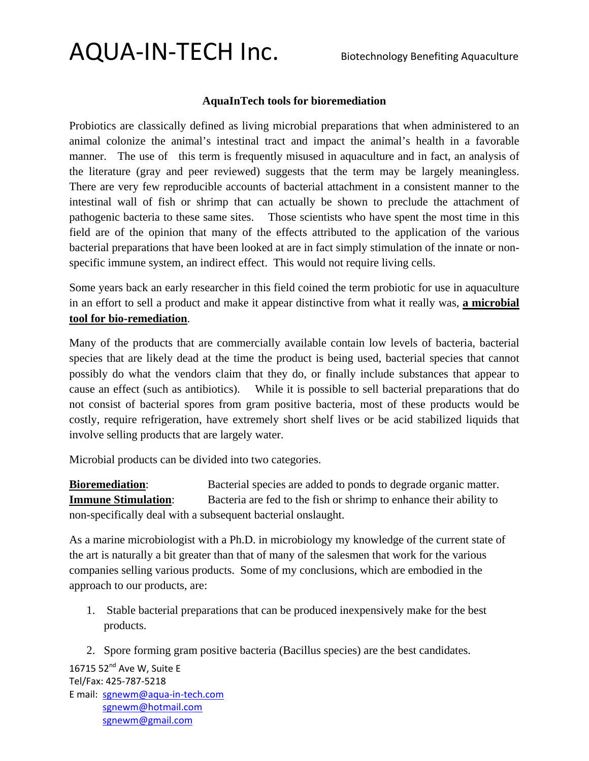### AQUA-IN-TECH Inc. Biotechnology Benefiting Aquaculture

#### **AquaInTech tools for bioremediation**

Probiotics are classically defined as living microbial preparations that when administered to an animal colonize the animal's intestinal tract and impact the animal's health in a favorable manner. The use of this term is frequently misused in aquaculture and in fact, an analysis of the literature (gray and peer reviewed) suggests that the term may be largely meaningless. There are very few reproducible accounts of bacterial attachment in a consistent manner to the intestinal wall of fish or shrimp that can actually be shown to preclude the attachment of pathogenic bacteria to these same sites. Those scientists who have spent the most time in this field are of the opinion that many of the effects attributed to the application of the various bacterial preparations that have been looked at are in fact simply stimulation of the innate or nonspecific immune system, an indirect effect. This would not require living cells.

Some years back an early researcher in this field coined the term probiotic for use in aquaculture in an effort to sell a product and make it appear distinctive from what it really was, **a microbial tool for bio-remediation**.

Many of the products that are commercially available contain low levels of bacteria, bacterial species that are likely dead at the time the product is being used, bacterial species that cannot possibly do what the vendors claim that they do, or finally include substances that appear to cause an effect (such as antibiotics). While it is possible to sell bacterial preparations that do not consist of bacterial spores from gram positive bacteria, most of these products would be costly, require refrigeration, have extremely short shelf lives or be acid stabilized liquids that involve selling products that are largely water.

Microbial products can be divided into two categories.

**Bioremediation**: Bacterial species are added to ponds to degrade organic matter. **Immune Stimulation:** Bacteria are fed to the fish or shrimp to enhance their ability to non-specifically deal with a subsequent bacterial onslaught.

As a marine microbiologist with a Ph.D. in microbiology my knowledge of the current state of the art is naturally a bit greater than that of many of the salesmen that work for the various companies selling various products. Some of my conclusions, which are embodied in the approach to our products, are:

1. Stable bacterial preparations that can be produced inexpensively make for the best products.

2. Spore forming gram positive bacteria (Bacillus species) are the best candidates.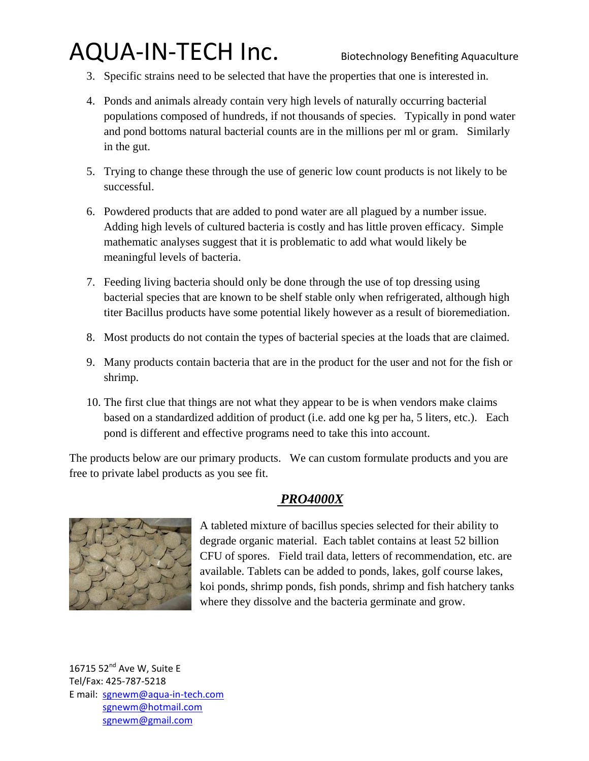# AQUA-IN-TECH Inc. Biotechnology Benefiting Aquaculture

- 3. Specific strains need to be selected that have the properties that one is interested in.
- 4. Ponds and animals already contain very high levels of naturally occurring bacterial populations composed of hundreds, if not thousands of species. Typically in pond water and pond bottoms natural bacterial counts are in the millions per ml or gram. Similarly in the gut.
- 5. Trying to change these through the use of generic low count products is not likely to be successful.
- 6. Powdered products that are added to pond water are all plagued by a number issue. Adding high levels of cultured bacteria is costly and has little proven efficacy. Simple mathematic analyses suggest that it is problematic to add what would likely be meaningful levels of bacteria.
- 7. Feeding living bacteria should only be done through the use of top dressing using bacterial species that are known to be shelf stable only when refrigerated, although high titer Bacillus products have some potential likely however as a result of bioremediation.
- 8. Most products do not contain the types of bacterial species at the loads that are claimed.
- 9. Many products contain bacteria that are in the product for the user and not for the fish or shrimp.
- 10. The first clue that things are not what they appear to be is when vendors make claims based on a standardized addition of product (i.e. add one kg per ha, 5 liters, etc.). Each pond is different and effective programs need to take this into account.

The products below are our primary products. We can custom formulate products and you are free to private label products as you see fit.

#### *PRO4000X*



A tableted mixture of bacillus species selected for their ability to degrade organic material. Each tablet contains at least 52 billion CFU of spores. Field trail data, letters of recommendation, etc. are available. Tablets can be added to ponds, lakes, golf course lakes, koi ponds, shrimp ponds, fish ponds, shrimp and fish hatchery tanks where they dissolve and the bacteria germinate and grow.

16715  $52<sup>nd</sup>$  Ave W. Suite E Tel/Fax: 425-787-5218 E mail: [sgnewm@aqua-in-tech.com](mailto:sgnewm@aqua-in-tech.com) [sgnewm@hotmail.com](mailto:sgnewm@hotmail.com) [sgnewm@gmail.com](mailto:sgnewm@gmail.com)